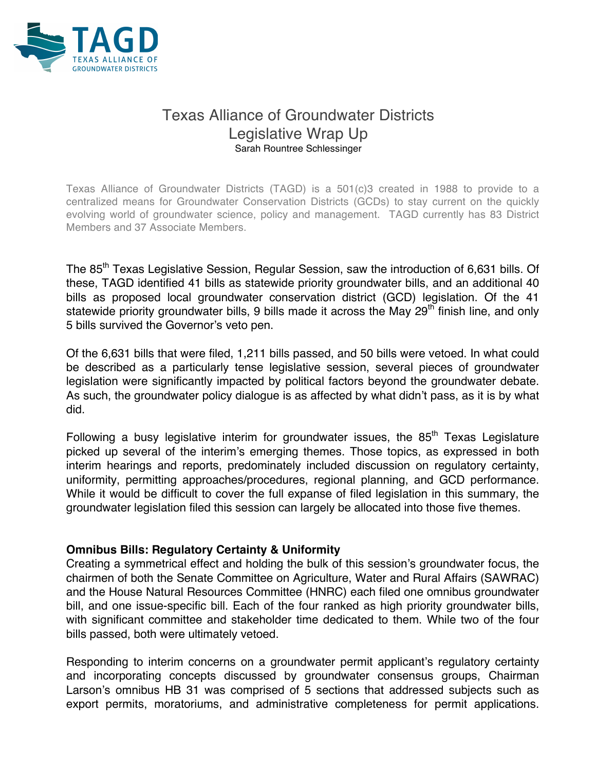

# Texas Alliance of Groundwater Districts Legislative Wrap Up Sarah Rountree Schlessinger

Texas Alliance of Groundwater Districts (TAGD) is a 501(c)3 created in 1988 to provide to a centralized means for Groundwater Conservation Districts (GCDs) to stay current on the quickly evolving world of groundwater science, policy and management. TAGD currently has 83 District Members and 37 Associate Members.

The 85<sup>th</sup> Texas Legislative Session, Regular Session, saw the introduction of 6,631 bills. Of these, TAGD identified 41 bills as statewide priority groundwater bills, and an additional 40 bills as proposed local groundwater conservation district (GCD) legislation. Of the 41 statewide priority groundwater bills, 9 bills made it across the May  $29<sup>th</sup>$  finish line, and only 5 bills survived the Governor's veto pen.

Of the 6,631 bills that were filed, 1,211 bills passed, and 50 bills were vetoed. In what could be described as a particularly tense legislative session, several pieces of groundwater legislation were significantly impacted by political factors beyond the groundwater debate. As such, the groundwater policy dialogue is as affected by what didn't pass, as it is by what did.

Following a busy legislative interim for groundwater issues, the  $85<sup>th</sup>$  Texas Legislature picked up several of the interim's emerging themes. Those topics, as expressed in both interim hearings and reports, predominately included discussion on regulatory certainty, uniformity, permitting approaches/procedures, regional planning, and GCD performance. While it would be difficult to cover the full expanse of filed legislation in this summary, the groundwater legislation filed this session can largely be allocated into those five themes.

### **Omnibus Bills: Regulatory Certainty & Uniformity**

Creating a symmetrical effect and holding the bulk of this session's groundwater focus, the chairmen of both the Senate Committee on Agriculture, Water and Rural Affairs (SAWRAC) and the House Natural Resources Committee (HNRC) each filed one omnibus groundwater bill, and one issue-specific bill. Each of the four ranked as high priority groundwater bills, with significant committee and stakeholder time dedicated to them. While two of the four bills passed, both were ultimately vetoed.

Responding to interim concerns on a groundwater permit applicant's regulatory certainty and incorporating concepts discussed by groundwater consensus groups, Chairman Larson's omnibus HB 31 was comprised of 5 sections that addressed subjects such as export permits, moratoriums, and administrative completeness for permit applications.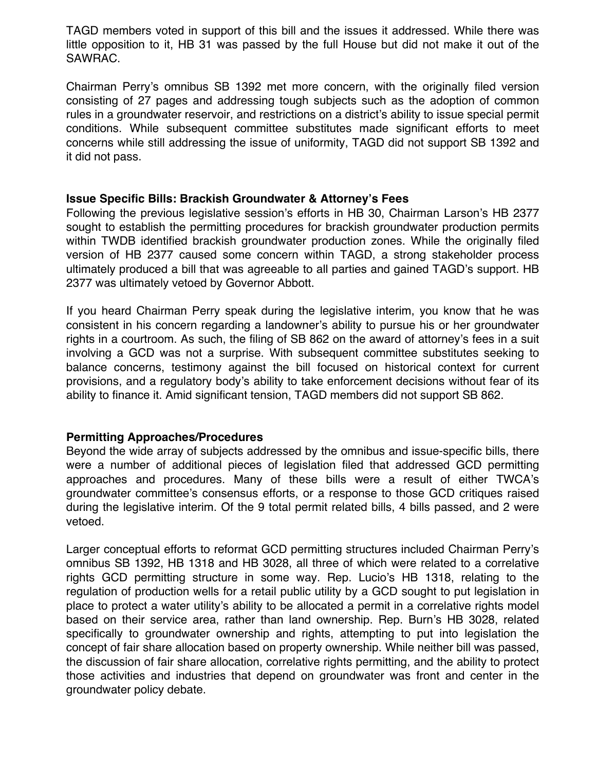TAGD members voted in support of this bill and the issues it addressed. While there was little opposition to it, HB 31 was passed by the full House but did not make it out of the SAWRAC.

Chairman Perry's omnibus SB 1392 met more concern, with the originally filed version consisting of 27 pages and addressing tough subjects such as the adoption of common rules in a groundwater reservoir, and restrictions on a district's ability to issue special permit conditions. While subsequent committee substitutes made significant efforts to meet concerns while still addressing the issue of uniformity, TAGD did not support SB 1392 and it did not pass.

#### **Issue Specific Bills: Brackish Groundwater & Attorney's Fees**

Following the previous legislative session's efforts in HB 30, Chairman Larson's HB 2377 sought to establish the permitting procedures for brackish groundwater production permits within TWDB identified brackish groundwater production zones. While the originally filed version of HB 2377 caused some concern within TAGD, a strong stakeholder process ultimately produced a bill that was agreeable to all parties and gained TAGD's support. HB 2377 was ultimately vetoed by Governor Abbott.

If you heard Chairman Perry speak during the legislative interim, you know that he was consistent in his concern regarding a landowner's ability to pursue his or her groundwater rights in a courtroom. As such, the filing of SB 862 on the award of attorney's fees in a suit involving a GCD was not a surprise. With subsequent committee substitutes seeking to balance concerns, testimony against the bill focused on historical context for current provisions, and a regulatory body's ability to take enforcement decisions without fear of its ability to finance it. Amid significant tension, TAGD members did not support SB 862.

### **Permitting Approaches/Procedures**

Beyond the wide array of subjects addressed by the omnibus and issue-specific bills, there were a number of additional pieces of legislation filed that addressed GCD permitting approaches and procedures. Many of these bills were a result of either TWCA's groundwater committee's consensus efforts, or a response to those GCD critiques raised during the legislative interim. Of the 9 total permit related bills, 4 bills passed, and 2 were vetoed.

Larger conceptual efforts to reformat GCD permitting structures included Chairman Perry's omnibus SB 1392, HB 1318 and HB 3028, all three of which were related to a correlative rights GCD permitting structure in some way. Rep. Lucio's HB 1318, relating to the regulation of production wells for a retail public utility by a GCD sought to put legislation in place to protect a water utility's ability to be allocated a permit in a correlative rights model based on their service area, rather than land ownership. Rep. Burn's HB 3028, related specifically to groundwater ownership and rights, attempting to put into legislation the concept of fair share allocation based on property ownership. While neither bill was passed, the discussion of fair share allocation, correlative rights permitting, and the ability to protect those activities and industries that depend on groundwater was front and center in the groundwater policy debate.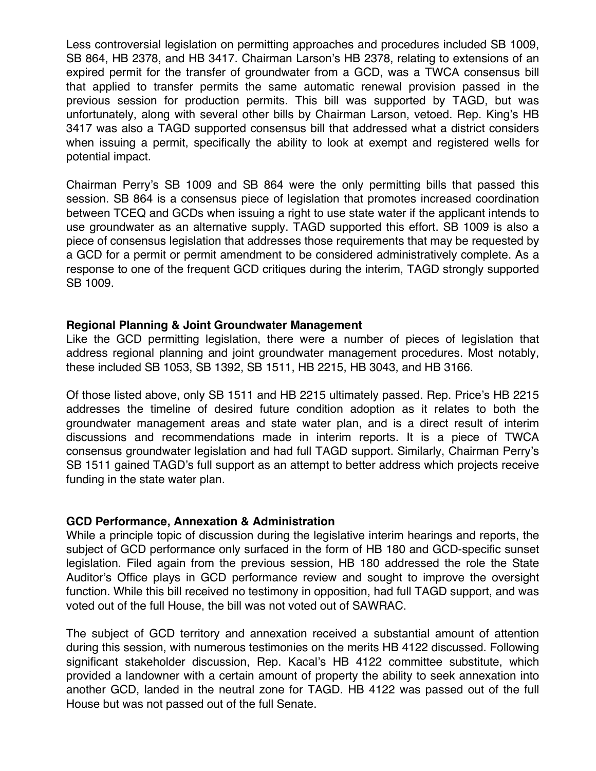Less controversial legislation on permitting approaches and procedures included SB 1009, SB 864, HB 2378, and HB 3417. Chairman Larson's HB 2378, relating to extensions of an expired permit for the transfer of groundwater from a GCD, was a TWCA consensus bill that applied to transfer permits the same automatic renewal provision passed in the previous session for production permits. This bill was supported by TAGD, but was unfortunately, along with several other bills by Chairman Larson, vetoed. Rep. King's HB 3417 was also a TAGD supported consensus bill that addressed what a district considers when issuing a permit, specifically the ability to look at exempt and registered wells for potential impact.

Chairman Perry's SB 1009 and SB 864 were the only permitting bills that passed this session. SB 864 is a consensus piece of legislation that promotes increased coordination between TCEQ and GCDs when issuing a right to use state water if the applicant intends to use groundwater as an alternative supply. TAGD supported this effort. SB 1009 is also a piece of consensus legislation that addresses those requirements that may be requested by a GCD for a permit or permit amendment to be considered administratively complete. As a response to one of the frequent GCD critiques during the interim, TAGD strongly supported SB 1009.

#### **Regional Planning & Joint Groundwater Management**

Like the GCD permitting legislation, there were a number of pieces of legislation that address regional planning and joint groundwater management procedures. Most notably, these included SB 1053, SB 1392, SB 1511, HB 2215, HB 3043, and HB 3166.

Of those listed above, only SB 1511 and HB 2215 ultimately passed. Rep. Price's HB 2215 addresses the timeline of desired future condition adoption as it relates to both the groundwater management areas and state water plan, and is a direct result of interim discussions and recommendations made in interim reports. It is a piece of TWCA consensus groundwater legislation and had full TAGD support. Similarly, Chairman Perry's SB 1511 gained TAGD's full support as an attempt to better address which projects receive funding in the state water plan.

#### **GCD Performance, Annexation & Administration**

While a principle topic of discussion during the legislative interim hearings and reports, the subject of GCD performance only surfaced in the form of HB 180 and GCD-specific sunset legislation. Filed again from the previous session, HB 180 addressed the role the State Auditor's Office plays in GCD performance review and sought to improve the oversight function. While this bill received no testimony in opposition, had full TAGD support, and was voted out of the full House, the bill was not voted out of SAWRAC.

The subject of GCD territory and annexation received a substantial amount of attention during this session, with numerous testimonies on the merits HB 4122 discussed. Following significant stakeholder discussion, Rep. Kacal's HB 4122 committee substitute, which provided a landowner with a certain amount of property the ability to seek annexation into another GCD, landed in the neutral zone for TAGD. HB 4122 was passed out of the full House but was not passed out of the full Senate.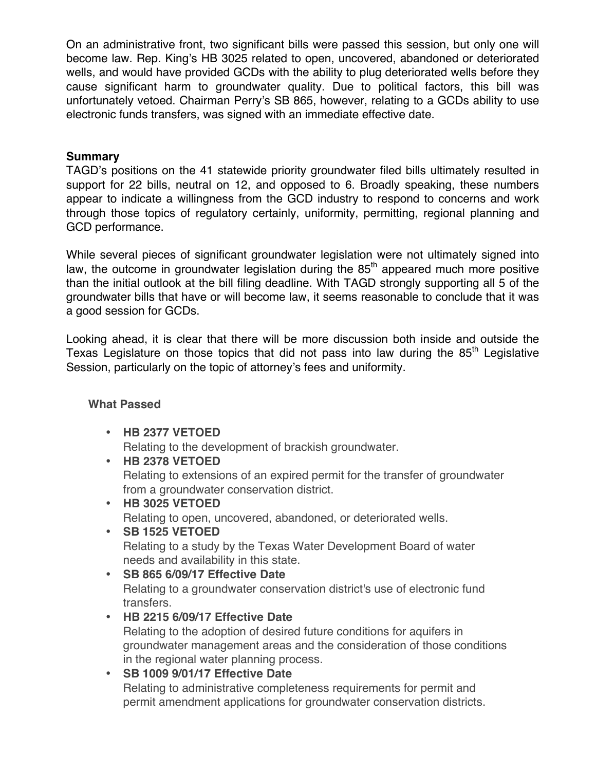On an administrative front, two significant bills were passed this session, but only one will become law. Rep. King's HB 3025 related to open, uncovered, abandoned or deteriorated wells, and would have provided GCDs with the ability to plug deteriorated wells before they cause significant harm to groundwater quality. Due to political factors, this bill was unfortunately vetoed. Chairman Perry's SB 865, however, relating to a GCDs ability to use electronic funds transfers, was signed with an immediate effective date.

### **Summary**

TAGD's positions on the 41 statewide priority groundwater filed bills ultimately resulted in support for 22 bills, neutral on 12, and opposed to 6. Broadly speaking, these numbers appear to indicate a willingness from the GCD industry to respond to concerns and work through those topics of regulatory certainly, uniformity, permitting, regional planning and GCD performance.

While several pieces of significant groundwater legislation were not ultimately signed into law, the outcome in groundwater legislation during the  $85<sup>th</sup>$  appeared much more positive than the initial outlook at the bill filing deadline. With TAGD strongly supporting all 5 of the groundwater bills that have or will become law, it seems reasonable to conclude that it was a good session for GCDs.

Looking ahead, it is clear that there will be more discussion both inside and outside the Texas Legislature on those topics that did not pass into law during the  $85<sup>th</sup>$  Legislative Session, particularly on the topic of attorney's fees and uniformity.

### **What Passed**

• **HB 2377 VETOED**

Relating to the development of brackish groundwater.

- **HB 2378 VETOED** Relating to extensions of an expired permit for the transfer of groundwater from a groundwater conservation district.
- **HB 3025 VETOED** Relating to open, uncovered, abandoned, or deteriorated wells.
- **SB 1525 VETOED** Relating to a study by the Texas Water Development Board of water needs and availability in this state.
- **SB 865 6/09/17 Effective Date**

Relating to a groundwater conservation district's use of electronic fund transfers.

- **HB 2215 6/09/17 Effective Date** Relating to the adoption of desired future conditions for aquifers in groundwater management areas and the consideration of those conditions in the regional water planning process.
- **SB 1009 9/01/17 Effective Date**

Relating to administrative completeness requirements for permit and permit amendment applications for groundwater conservation districts.